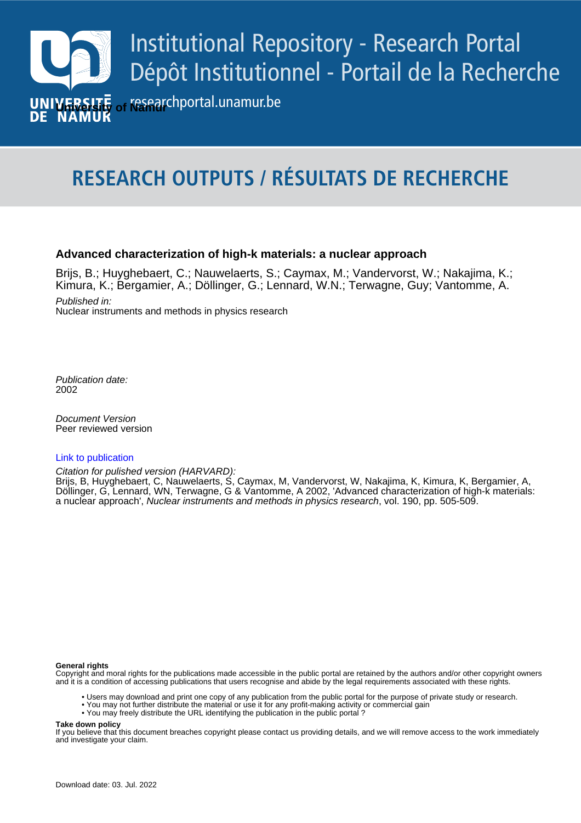

# **RESEARCH OUTPUTS / RÉSULTATS DE RECHERCHE**

### **Advanced characterization of high-k materials: a nuclear approach**

Brijs, B.; Huyghebaert, C.; Nauwelaerts, S.; Caymax, M.; Vandervorst, W.; Nakajima, K.; Kimura, K.; Bergamier, A.; Döllinger, G.; Lennard, W.N.; Terwagne, Guy; Vantomme, A.

Published in: Nuclear instruments and methods in physics research

Publication date: 2002

**Publication de publication**<br>Peer reviewed version Document Version

#### [Link to publication](https://researchportal.unamur.be/en/publications/f76fa7f4-9904-450b-8e7a-22ba346b6d2b)

Citation for pulished version (HARVARD):

Döllinger, G. Lennard, WN, Ter Brijs, B, Huyghebaert, C, Nauwelaerts, S, Caymax, M, Vandervorst, W, Nakajima, K, Kimura, K, Bergamier, A, Döllinger, G, Lennard, WN, Terwagne, G & Vantomme, A 2002, 'Advanced characterization of high-k materials: a nuclear approach', Nuclear instruments and methods in physics research, vol. 190, pp. 505-509.

#### **General rights**

Copyright and moral rights for the publications made accessible in the public portal are retained by the authors and/or other copyright owners and it is a condition of accessing publications that users recognise and abide by the legal requirements associated with these rights.

- Users may download and print one copy of any publication from the public portal for the purpose of private study or research.
- You may not further distribute the material or use it for any profit-making activity or commercial gain
- You may freely distribute the URL identifying the publication in the public portal ?

**Take down policy**

If you believe that this document breaches copyright please contact us providing details, and we will remove access to the work immediately and investigate your claim.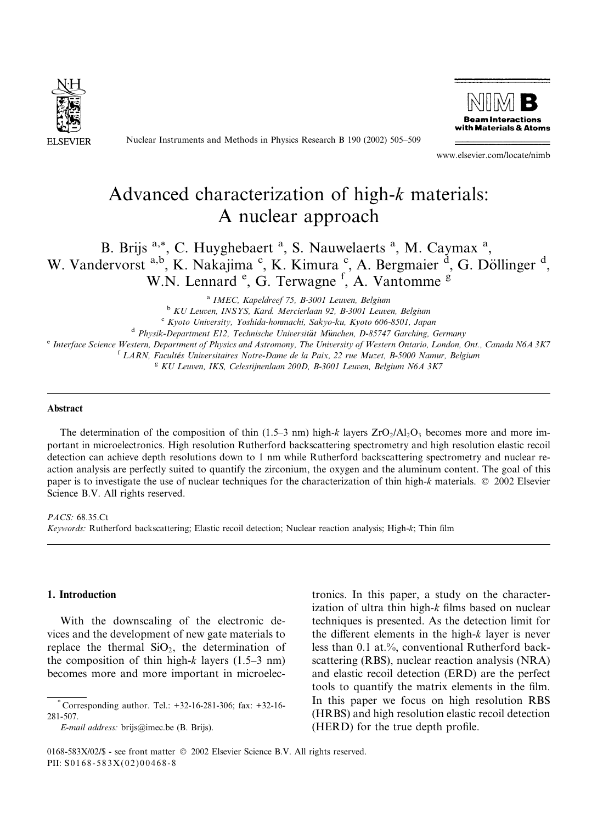

Nuclear Instruments and Methods in Physics Research B 190 (2002) 505–509



www.elsevier.com/locate/nimb

## Advanced characterization of high-k materials: A nuclear approach

B. Brijs <sup>a,\*</sup>, C. Huyghebaert<sup>a</sup>, S. Nauwelaerts<sup>a</sup>, M. Caymax<sup>a</sup>, W. Vandervorst a,b, K. Nakajima °, K. Kimura °, A. Bergmaier <sup>d</sup>, G. Döllinger <sup>d</sup>, W.N. Lennard <sup>e</sup>, G. Terwagne <sup>f</sup>, A. Vantomme <sup>g</sup>

<sup>a</sup> IMEC, Kapeldreef 75, B-3001 Leuven, Belgium

<sup>b</sup> KU Leuven, INSYS, Kard. Mercierlaan 92, B-3001 Leuven, Belgium

<sup>c</sup> Kyoto University, Yoshida-honmachi, Sakyo-ku, Kyoto 606-8501, Japan<br><sup>d</sup> Physik-Department E12, Technische Universität München, D-85747 Garching, Germany

<sup>e</sup> Interface Science Western, Department of Physics and Astromony, The University of Western Ontario, London, Ont., Canada N6A 3K7

<sup>f</sup> LARN, Facultés Universitaires Notre-Dame de la Paix, 22 rue Muzet, B-5000 Namur, Belgium

 $KU$  Leuven, IKS, Celestijnenlaan 200D, B-3001 Leuven, Belgium N6A 3K7

#### Abstract

The determination of the composition of thin (1.5–3 nm) high-k layers  $ZrO<sub>2</sub>/Al<sub>2</sub>O<sub>3</sub>$  becomes more and more important in microelectronics. High resolution Rutherford backscattering spectrometry and high resolution elastic recoil detection can achieve depth resolutions down to 1 nm while Rutherford backscattering spectrometry and nuclear reaction analysis are perfectly suited to quantify the zirconium, the oxygen and the aluminum content. The goal of this paper is to investigate the use of nuclear techniques for the characterization of thin high-k materials.  $\oslash$  2002 Elsevier Science B.V. All rights reserved.

PACS: 68.35.Ct

Keywords: Rutherford backscattering; Elastic recoil detection; Nuclear reaction analysis; High-k; Thin film

#### 1. Introduction

With the downscaling of the electronic devices and the development of new gate materials to replace the thermal  $SiO<sub>2</sub>$ , the determination of the composition of thin high-k layers  $(1.5-3 \text{ nm})$ becomes more and more important in microelec-

E-mail address: brijs@imec.be (B. Brijs).

tronics. In this paper, a study on the characterization of ultra thin high- $k$  films based on nuclear techniques is presented. As the detection limit for the different elements in the high- $k$  layer is never less than 0.1 at.%, conventional Rutherford backscattering (RBS), nuclear reaction analysis (NRA) and elastic recoil detection (ERD) are the perfect tools to quantify the matrix elements in the film. In this paper we focus on high resolution RBS (HRBS) and high resolution elastic recoil detection (HERD) for the true depth profile.

<sup>\*</sup> Corresponding author. Tel.: +32-16-281-306; fax: +32-16- 281-507.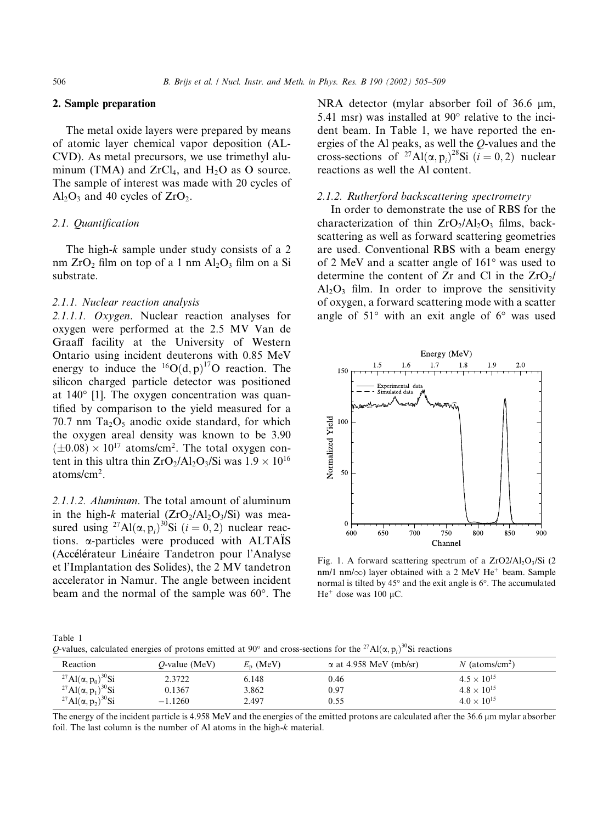#### 2. Sample preparation

The metal oxide layers were prepared by means of atomic layer chemical vapor deposition (AL-CVD). As metal precursors, we use trimethyl aluminum (TMA) and  $ZrCl<sub>4</sub>$ , and  $H<sub>2</sub>O$  as O source. The sample of interest was made with 20 cycles of  $Al_2O_3$  and 40 cycles of  $ZrO_2$ .

#### 2.1. Quantification

The high-k sample under study consists of a 2 nm  $ZrO_2$  film on top of a 1 nm  $Al_2O_3$  film on a Si substrate.

#### 2.1.1. Nuclear reaction analysis

2.1.1.1. Oxygen. Nuclear reaction analyses for oxygen were performed at the 2.5 MV Van de Graaff facility at the University of Western Ontario using incident deuterons with 0.85 MeV energy to induce the  ${}^{16}O(d,p)$ <sup>17</sup>O reaction. The silicon charged particle detector was positioned at 140° [1]. The oxygen concentration was quantified by comparison to the yield measured for a 70.7 nm  $Ta_2O_5$  anodic oxide standard, for which the oxygen areal density was known to be 3.90  $(\pm 0.08) \times 10^{17}$  atoms/cm<sup>2</sup>. The total oxygen content in this ultra thin  $ZrO_2/Al_2O_3/Si$  was  $1.9 \times 10^{16}$ atoms/cm2.

2.1.1.2. Aluminum. The total amount of aluminum in the high-k material  $(ZrO<sub>2</sub>/Al<sub>2</sub>O<sub>3</sub>/Si)$  was measured using <sup>27</sup>Al( $\alpha$ ,  $p_i$ )<sup>30</sup>Si (*i* = 0, 2) nuclear reactions.  $\alpha$ -particles were produced with ALTAIS (Accélérateur Linéaire Tandetron pour l'Analyse et l'Implantation des Solides), the 2 MV tandetron accelerator in Namur. The angle between incident beam and the normal of the sample was 60°. The

NRA detector (mylar absorber foil of 36.6  $\mu$ m, 5.41 msr) was installed at  $90^{\circ}$  relative to the incident beam. In Table 1, we have reported the energies of the Al peaks, as well the Q-values and the cross-sections of <sup>27</sup>Al( $\alpha$ ,  $p_i$ )<sup>28</sup>Si ( $i = 0, 2$ ) nuclear reactions as well the Al content.

#### 2.1.2. Rutherford backscattering spectrometry

In order to demonstrate the use of RBS for the characterization of thin  $ZrO_2/Al_2O_3$  films, backscattering as well as forward scattering geometries are used. Conventional RBS with a beam energy of 2 MeV and a scatter angle of  $161^{\circ}$  was used to determine the content of  $Zr$  and Cl in the  $ZrO<sub>2</sub>/$  $Al_2O_3$  film. In order to improve the sensitivity of oxygen, a forward scattering mode with a scatter angle of  $51^{\circ}$  with an exit angle of  $6^{\circ}$  was used



Fig. 1. A forward scattering spectrum of a  $ZrO2/Al_2O_3/Si$  (2 nm/1 nm/ $\infty$ ) layer obtained with a 2 MeV He<sup>+</sup> beam. Sample normal is tilted by  $45^{\circ}$  and the exit angle is  $6^{\circ}$ . The accumulated He<sup>+</sup> dose was 100  $\mu$ C.

Table 1 Q-values, calculated energies of protons emitted at 90° and cross-sections for the <sup>27</sup>Al( $\alpha$ ,  $p_i$ )<sup>30</sup>Si reactions

| Reaction                                                       | $O$ -value (MeV) | $E_p$ (MeV) | $\alpha$ at 4.958 MeV (mb/sr) | $N$ (atoms/cm <sup>2</sup> ) |  |
|----------------------------------------------------------------|------------------|-------------|-------------------------------|------------------------------|--|
| <sup>27</sup> Al( $\alpha$ , $p_0$ ) <sup>30</sup> Si          | 2.3722           | 6.148       | 0.46                          | $4.5 \times 10^{15}$         |  |
| <sup>27</sup> Al( $\alpha$ , $p_1$ ) <sup>30</sup> Si          | 0.1367           | 3.862       | 0.97                          | $4.8 \times 10^{15}$         |  |
| <sup>27</sup> Al( $\alpha$ , p <sub>2</sub> ) <sup>30</sup> Si | $-1.1260$        | 2.497       | 0.55                          | $4.0 \times 10^{15}$         |  |

The energy of the incident particle is 4.958 MeV and the energies of the emitted protons are calculated after the 36.6 µm mylar absorber foil. The last column is the number of Al atoms in the high-k material.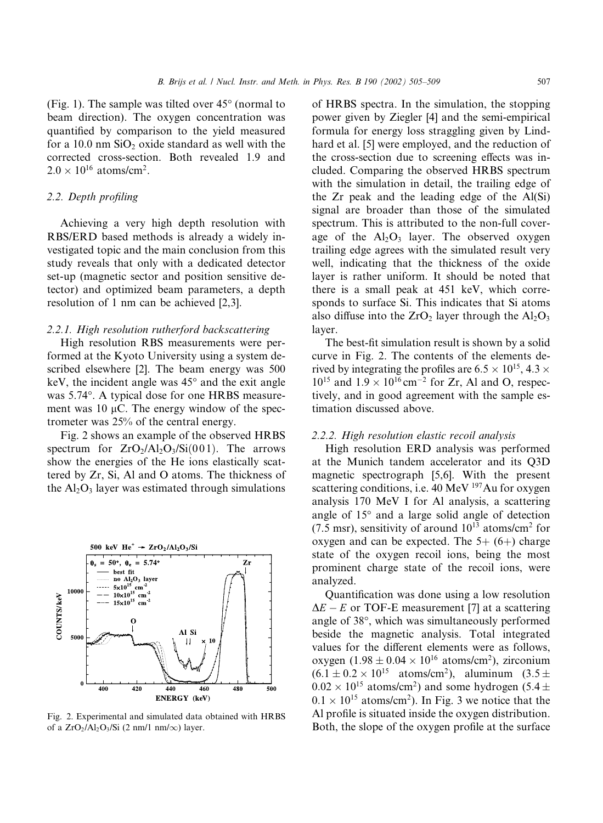(Fig. 1). The sample was tilted over  $45^{\circ}$  (normal to beam direction). The oxygen concentration was quantified by comparison to the yield measured for a  $10.0$  nm  $SiO<sub>2</sub>$  oxide standard as well with the corrected cross-section. Both revealed 1.9 and  $2.0 \times 10^{16}$  atoms/cm<sup>2</sup>.

#### 2.2. Depth profiling

Achieving a very high depth resolution with RBS/ERD based methods is already a widely investigated topic and the main conclusion from this study reveals that only with a dedicated detector set-up (magnetic sector and position sensitive detector) and optimized beam parameters, a depth resolution of 1 nm can be achieved [2,3].

#### 2.2.1. High resolution rutherford backscattering

High resolution RBS measurements were performed at the Kyoto University using a system described elsewhere [2]. The beam energy was 500 keV, the incident angle was  $45^{\circ}$  and the exit angle was 5.74°. A typical dose for one HRBS measurement was 10  $\mu$ C. The energy window of the spectrometer was 25% of the central energy.

Fig. 2 shows an example of the observed HRBS spectrum for  $ZrO_2/Al_2O_3/Si(001)$ . The arrows show the energies of the He ions elastically scattered by Zr, Si, Al and O atoms. The thickness of the  $Al_2O_3$  layer was estimated through simulations



Fig. 2. Experimental and simulated data obtained with HRBS of a  $ZrO_2/Al_2O_3/Si$  (2 nm/1 nm/ $\infty$ ) layer.

of HRBS spectra. In the simulation, the stopping power given by Ziegler [4] and the semi-empirical formula for energy loss straggling given by Lindhard et al. [5] were employed, and the reduction of the cross-section due to screening effects was included. Comparing the observed HRBS spectrum with the simulation in detail, the trailing edge of the Zr peak and the leading edge of the Al(Si) signal are broader than those of the simulated spectrum. This is attributed to the non-full coverage of the  $Al_2O_3$  layer. The observed oxygen trailing edge agrees with the simulated result very well, indicating that the thickness of the oxide layer is rather uniform. It should be noted that there is a small peak at 451 keV, which corresponds to surface Si. This indicates that Si atoms also diffuse into the  $ZrO<sub>2</sub>$  layer through the  $Al<sub>2</sub>O<sub>3</sub>$ layer.

The best-fit simulation result is shown by a solid curve in Fig. 2. The contents of the elements derived by integrating the profiles are  $6.5 \times 10^{15}$ ,  $4.3 \times$  $10^{15}$  and  $1.9 \times 10^{16}$  cm<sup>-2</sup> for Zr, Al and O, respectively, and in good agreement with the sample estimation discussed above.

#### 2.2.2. High resolution elastic recoil analysis

High resolution ERD analysis was performed at the Munich tandem accelerator and its Q3D magnetic spectrograph [5,6]. With the present scattering conditions, i.e.  $40 \text{ MeV}^{197}$ Au for oxygen analysis 170 MeV I for Al analysis, a scattering angle of  $15^{\circ}$  and a large solid angle of detection  $(7.5 \text{ ms})$ , sensitivity of around  $10^{13}$  atoms/cm<sup>2</sup> for oxygen and can be expected. The  $5+(6+)$  charge state of the oxygen recoil ions, being the most prominent charge state of the recoil ions, were analyzed.

Quantification was done using a low resolution  $\Delta E - E$  or TOF-E measurement [7] at a scattering angle of 38°, which was simultaneously performed beside the magnetic analysis. Total integrated values for the different elements were as follows, oxygen  $(1.98 \pm 0.04 \times 10^{16} \text{ atoms/cm}^2)$ , zirconium  $(6.1 \pm 0.2 \times 10^{15} \text{ atoms/cm}^2)$ , aluminum  $(3.5 \pm$  $0.02 \times 10^{15}$  atoms/cm<sup>2</sup>) and some hydrogen (5.4  $\pm$  $0.1 \times 10^{15}$  atoms/cm<sup>2</sup>). In Fig. 3 we notice that the Al profile is situated inside the oxygen distribution. Both, the slope of the oxygen profile at the surface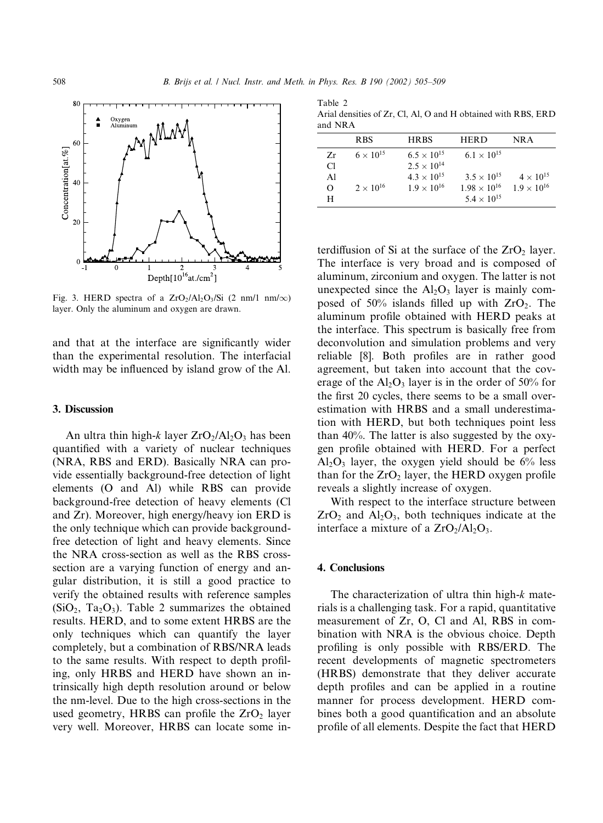

Fig. 3. HERD spectra of a  $ZrO_2/Al_2O_3/Si$  (2 nm/1 nm/ $\infty$ ) layer. Only the aluminum and oxygen are drawn.

and that at the interface are significantly wider than the experimental resolution. The interfacial width may be influenced by island grow of the Al.

#### 3. Discussion

An ultra thin high-k layer  $ZrO_2/Al_2O_3$  has been quantified with a variety of nuclear techniques (NRA, RBS and ERD). Basically NRA can provide essentially background-free detection of light elements (O and Al) while RBS can provide background-free detection of heavy elements (Cl and Zr). Moreover, high energy/heavy ion ERD is the only technique which can provide backgroundfree detection of light and heavy elements. Since the NRA cross-section as well as the RBS crosssection are a varying function of energy and angular distribution, it is still a good practice to verify the obtained results with reference samples  $(SiO<sub>2</sub>, Ta<sub>2</sub>O<sub>3</sub>)$ . Table 2 summarizes the obtained results. HERD, and to some extent HRBS are the only techniques which can quantify the layer completely, but a combination of RBS/NRA leads to the same results. With respect to depth profiling, only HRBS and HERD have shown an intrinsically high depth resolution around or below the nm-level. Due to the high cross-sections in the used geometry, HRBS can profile the  $ZrO<sub>2</sub>$  layer very well. Moreover, HRBS can locate some in-

Table 2 Arial densities of Zr, Cl, Al, O and H obtained with RBS, ERD and NRA

|          | <b>RBS</b>         | <b>HRBS</b>          | <b>HERD</b>           | NR A                 |  |  |  |
|----------|--------------------|----------------------|-----------------------|----------------------|--|--|--|
| Zr       | $6 \times 10^{15}$ | $6.5 \times 10^{15}$ | $6.1 \times 10^{15}$  |                      |  |  |  |
| Сl       |                    | $2.5 \times 10^{14}$ |                       |                      |  |  |  |
| Al       |                    | $4.3 \times 10^{15}$ | $3.5 \times 10^{15}$  | $4 \times 10^{15}$   |  |  |  |
| $\Omega$ | $2 \times 10^{16}$ | $1.9 \times 10^{16}$ | $1.98 \times 10^{16}$ | $1.9 \times 10^{16}$ |  |  |  |
| H        |                    |                      | $5.4 \times 10^{15}$  |                      |  |  |  |

terdiffusion of Si at the surface of the  $ZrO<sub>2</sub>$  layer. The interface is very broad and is composed of aluminum, zirconium and oxygen. The latter is not unexpected since the  $Al_2O_3$  layer is mainly composed of 50% islands filled up with  $ZrO<sub>2</sub>$ . The aluminum profile obtained with HERD peaks at the interface. This spectrum is basically free from deconvolution and simulation problems and very reliable [8]. Both profiles are in rather good agreement, but taken into account that the coverage of the  $Al_2O_3$  layer is in the order of 50% for the first 20 cycles, there seems to be a small overestimation with HRBS and a small underestimation with HERD, but both techniques point less than 40%. The latter is also suggested by the oxygen profile obtained with HERD. For a perfect  $Al_2O_3$  layer, the oxygen yield should be  $6\%$  less than for the  $ZrO<sub>2</sub>$  layer, the HERD oxygen profile reveals a slightly increase of oxygen.

With respect to the interface structure between  $ZrO<sub>2</sub>$  and  $Al<sub>2</sub>O<sub>3</sub>$ , both techniques indicate at the interface a mixture of a  $ZrO<sub>2</sub>/Al<sub>2</sub>O<sub>3</sub>$ .

#### 4. Conclusions

The characterization of ultra thin high-k materials is a challenging task. For a rapid, quantitative measurement of Zr, O, Cl and Al, RBS in combination with NRA is the obvious choice. Depth profiling is only possible with RBS/ERD. The recent developments of magnetic spectrometers (HRBS) demonstrate that they deliver accurate depth profiles and can be applied in a routine manner for process development. HERD combines both a good quantification and an absolute profile of all elements. Despite the fact that HERD